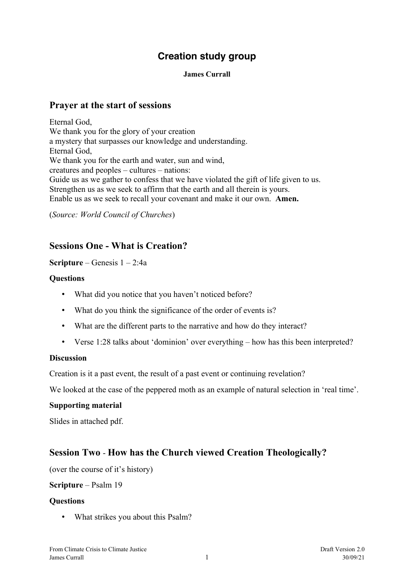# **Creation study group**

#### **James Currall**

### **Prayer at the start of sessions**

Eternal God, We thank you for the glory of your creation a mystery that surpasses our knowledge and understanding. Eternal God, We thank you for the earth and water, sun and wind, creatures and peoples – cultures – nations: Guide us as we gather to confess that we have violated the gift of life given to us. Strengthen us as we seek to affirm that the earth and all therein is yours. Enable us as we seek to recall your covenant and make it our own. **Amen.**

(*Source: World Council of Churches*)

## **Sessions One - What is Creation?**

### **Scripture** – Genesis 1 – 2:4a

### **Questions**

- What did you notice that you haven't noticed before?
- What do you think the significance of the order of events is?
- What are the different parts to the narrative and how do they interact?
- Verse 1:28 talks about 'dominion' over everything how has this been interpreted?

#### **Discussion**

Creation is it a past event, the result of a past event or continuing revelation?

We looked at the case of the peppered moth as an example of natural selection in 'real time'.

#### **Supporting material**

Slides in attached pdf.

# **Session Two** - **How has the Church viewed Creation Theologically?**

(over the course of it's history)

#### **Scripture** – Psalm 19

#### **Questions**

• What strikes you about this Psalm?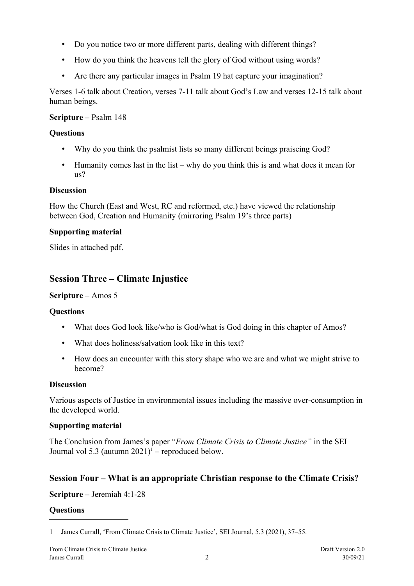- Do you notice two or more different parts, dealing with different things?
- How do you think the heavens tell the glory of God without using words?
- Are there any particular images in Psalm 19 hat capture your imagination?

Verses 1-6 talk about Creation, verses 7-11 talk about God's Law and verses 12-15 talk about human beings.

## **Scripture** – Psalm 148

# **Questions**

- Why do you think the psalmist lists so many different beings praiseing God?
- Humanity comes last in the list why do you think this is and what does it mean for us?

# **Discussion**

How the Church (East and West, RC and reformed, etc.) have viewed the relationship between God, Creation and Humanity (mirroring Psalm 19's three parts)

# **Supporting material**

Slides in attached pdf.

# **Session Three – Climate Injustice**

# **Scripture** – Amos 5

# **Questions**

- What does God look like/who is God/what is God doing in this chapter of Amos?
- What does holiness/salvation look like in this text?
- How does an encounter with this story shape who we are and what we might strive to become?

## **Discussion**

Various aspects of Justice in environmental issues including the massive over-consumption in the developed world.

## **Supporting material**

The Conclusion from James's paper "*From Climate Crisis to Climate Justice"* in the SEI Journal vol 5.3 (autumn  $2021$  $2021$ <sup>1</sup> – reproduced below.

# **Session Four – What is an appropriate Christian response to the Climate Crisis?**

**Scripture** – Jeremiah 4:1-28

## **Questions**

<span id="page-1-0"></span><sup>1</sup> James Currall, 'From Climate Crisis to Climate Justice', SEI Journal, 5.3 (2021), 37–55.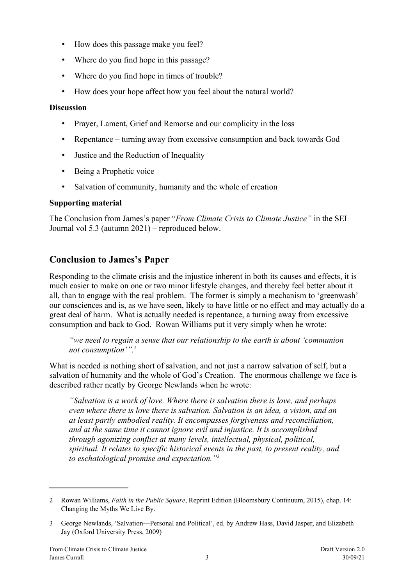- How does this passage make you feel?
- Where do you find hope in this passage?
- Where do you find hope in times of trouble?
- How does your hope affect how you feel about the natural world?

### **Discussion**

- Prayer, Lament, Grief and Remorse and our complicity in the loss
- Repentance turning away from excessive consumption and back towards God
- Justice and the Reduction of Inequality
- Being a Prophetic voice
- Salvation of community, humanity and the whole of creation

## **Supporting material**

The Conclusion from James's paper "*From Climate Crisis to Climate Justice"* in the SEI Journal vol 5.3 (autumn 2021) – reproduced below.

# **Conclusion to James's Paper**

Responding to the climate crisis and the injustice inherent in both its causes and effects, it is much easier to make on one or two minor lifestyle changes, and thereby feel better about it all, than to engage with the real problem. The former is simply a mechanism to 'greenwash' our consciences and is, as we have seen, likely to have little or no effect and may actually do a great deal of harm. What is actually needed is repentance, a turning away from excessive consumption and back to God. Rowan Williams put it very simply when he wrote:

*"we need to regain a sense that our relationship to the earth is about 'communion not consumption'".[2](#page-2-0)*

What is needed is nothing short of salvation, and not just a narrow salvation of self, but a salvation of humanity and the whole of God's Creation. The enormous challenge we face is described rather neatly by George Newlands when he wrote:

*"Salvation is a work of love. Where there is salvation there is love, and perhaps even where there is love there is salvation. Salvation is an idea, a vision, and an at least partly embodied reality. It encompasses forgiveness and reconciliation, and at the same time it cannot ignore evil and injustice. It is accomplished through agonizing conflict at many levels, intellectual, physical, political, spiritual. It relates to specific historical events in the past, to present reality, and to eschatological promise and expectation."[3](#page-2-1)*

<span id="page-2-0"></span><sup>2</sup> Rowan Williams, *Faith in the Public Square*, Reprint Edition (Bloomsbury Continuum, 2015), chap. 14: Changing the Myths We Live By.

<span id="page-2-1"></span><sup>3</sup> George Newlands, 'Salvation—Personal and Political', ed. by Andrew Hass, David Jasper, and Elizabeth Jay (Oxford University Press, 2009)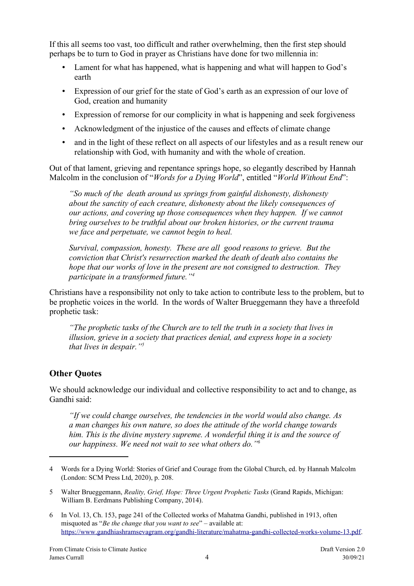If this all seems too vast, too difficult and rather overwhelming, then the first step should perhaps be to turn to God in prayer as Christians have done for two millennia in:

- Lament for what has happened, what is happening and what will happen to God's earth
- Expression of our grief for the state of God's earth as an expression of our love of God, creation and humanity
- Expression of remorse for our complicity in what is happening and seek forgiveness
- Acknowledgment of the injustice of the causes and effects of climate change
- and in the light of these reflect on all aspects of our lifestyles and as a result renew our relationship with God, with humanity and with the whole of creation.

Out of that lament, grieving and repentance springs hope, so elegantly described by Hannah Malcolm in the conclusion of "*Words for a Dying World*", entitled "*World Without End*":

*"So much of the death around us springs from gainful dishonesty, dishonesty about the sanctity of each creature, dishonesty about the likely consequences of our actions, and covering up those consequences when they happen. If we cannot bring ourselves to be truthful about our broken histories, or the current trauma we face and perpetuate, we cannot begin to heal.*

*Survival, compassion, honesty. These are all good reasons to grieve. But the conviction that Christ's resurrection marked the death of death also contains the hope that our works of love in the present are not consigned to destruction. They participate in a transformed future."[4](#page-3-0)*

Christians have a responsibility not only to take action to contribute less to the problem, but to be prophetic voices in the world. In the words of Walter Brueggemann they have a threefold prophetic task:

*"The prophetic tasks of the Church are to tell the truth in a society that lives in illusion, grieve in a society that practices denial, and express hope in a society that lives in despair." [5](#page-3-1)*

# **Other Quotes**

We should acknowledge our individual and collective responsibility to act and to change, as Gandhi said:

*"If we could change ourselves, the tendencies in the world would also change. As a man changes his own nature, so does the attitude of the world change towards him. This is the divine mystery supreme. A wonderful thing it is and the source of our happiness. We need not wait to see what others do." [6](#page-3-2)*

<span id="page-3-0"></span><sup>4</sup> Words for a Dying World: Stories of Grief and Courage from the Global Church, ed. by Hannah Malcolm (London: SCM Press Ltd, 2020), p. 208.

<span id="page-3-1"></span><sup>5</sup> Walter Brueggemann, *Reality, Grief, Hope: Three Urgent Prophetic Tasks* (Grand Rapids, Michigan: William B. Eerdmans Publishing Company, 2014).

<span id="page-3-2"></span><sup>6</sup> In Vol. 13, Ch. 153, page 241 of the Collected works of Mahatma Gandhi, published in 1913, often misquoted as "*Be the change that you want to see*" – available at: <https://www.gandhiashramsevagram.org/gandhi-literature/mahatma-gandhi-collected-works-volume-13.pdf>.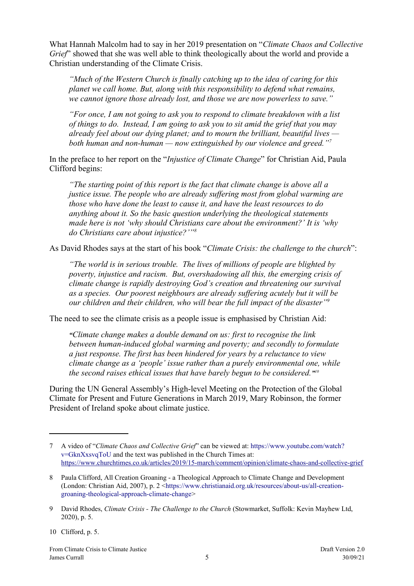What Hannah Malcolm had to say in her 2019 presentation on "*Climate Chaos and Collective Grief*" showed that she was well able to think theologically about the world and provide a Christian understanding of the Climate Crisis.

*"Much of the Western Church is finally catching up to the idea of caring for this planet we call home. But, along with this responsibility to defend what remains, we cannot ignore those already lost, and those we are now powerless to save."*

*"For once, I am not going to ask you to respond to climate breakdown with a list of things to do. Instead, I am going to ask you to sit amid the grief that you may already feel about our dying planet; and to mourn the brilliant, beautiful lives both human and non-human — now extinguished by our violence and greed."[7](#page-4-0)*

In the preface to her report on the "*Injustice of Climate Change*" for Christian Aid, Paula Clifford begins:

*"The starting point of this report is the fact that climate change is above all a justice issue. The people who are already suffering most from global warming are those who have done the least to cause it, and have the least resources to do anything about it. So the basic question underlying the theological statements made here is not 'why should Christians care about the environment?' It is 'why do Christians care about injustice?'"[8](#page-4-1)*

As David Rhodes says at the start of his book "*Climate Crisis: the challenge to the church*":

*"The world is in serious trouble. The lives of millions of people are blighted by poverty, injustice and racism. But, overshadowing all this, the emerging crisis of climate change is rapidly destroying God's creation and threatening our survival as a species. Our poorest neighbours are already suffering acutely but it will be our children and their children, who will bear the full impact of the disaster"[9](#page-4-2)*

The need to see the climate crisis as a people issue is emphasised by Christian Aid:

*"Climate change makes a double demand on us: first to recognise the link between human-induced global warming and poverty; and secondly to formulate a just response. The first has been hindered for years by a reluctance to view climate change as a 'people' issue rather than a purely environmental one, while the second raises ethical issues that have barely begun to be considered." [10](#page-4-3)*

During the UN General Assembly's High-level Meeting on the Protection of the Global Climate for Present and Future Generations in March 2019, Mary Robinson, the former President of Ireland spoke about climate justice.

<span id="page-4-3"></span>10 Clifford, p. 5.

<span id="page-4-0"></span><sup>7</sup> A video of "*Climate Chaos and Collective Grief*" can be viewed at: [https://www.youtube.com/watch?](https://www.youtube.com/watch?v=GknXxsvqToU) [v=GknXxsvqToU](https://www.youtube.com/watch?v=GknXxsvqToU) and the text was published in the Church Times at: <https://www.churchtimes.co.uk/articles/2019/15-march/comment/opinion/climate-chaos-and-collective-grief>

<span id="page-4-1"></span><sup>8</sup> Paula Clifford, All Creation Groaning - a Theological Approach to Climate Change and Development (London: Christian Aid, 2007), p. 2 [<https://www.christianaid.org.uk/resources/about-us/all-creation](https://www.christianaid.org.uk/resources/about-us/all-creation-groaning-theological-approach-climate-change)[groaning-theological-approach-climate-change>](https://www.christianaid.org.uk/resources/about-us/all-creation-groaning-theological-approach-climate-change)

<span id="page-4-2"></span><sup>9</sup> David Rhodes, *Climate Crisis - The Challenge to the Church* (Stowmarket, Suffolk: Kevin Mayhew Ltd, 2020), p. 5.